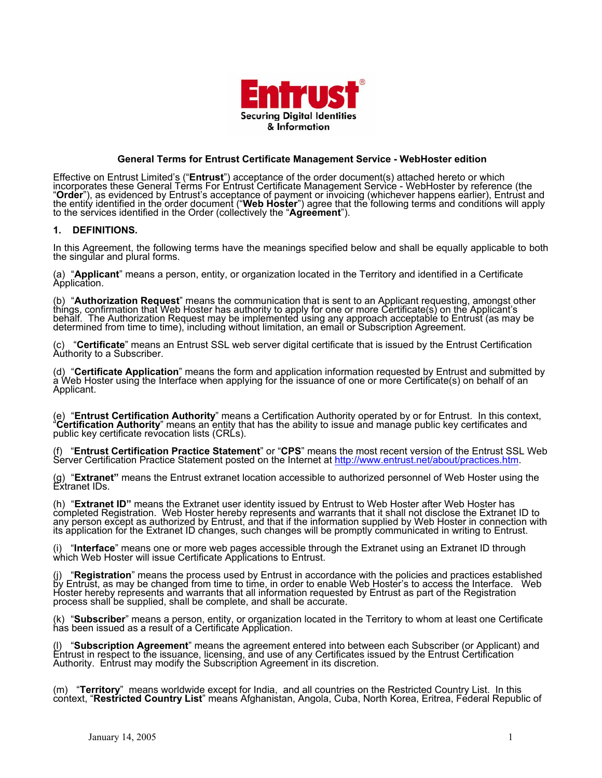

### **General Terms for Entrust Certificate Management Service - WebHoster edition**

Effective on Entrust Limited's ("**Entrust**") acceptance of the order document(s) attached hereto or which<br>incorporates these General Terms For Entrust Certificate Management Service - WebHoster by reference (the<br>"**Order**")

### **1. DEFINITIONS.**

In this Agreement, the following terms have the meanings specified below and shall be equally applicable to both<br>the singular and plural forms.

(a) "**Applicant**" means a person, entity, or organization located in the Territory and identified in a Certificate<br>Application.

(b) "Authorization Request" means the communication that is sent to an Applicant requesting, amongst other things, confirmation that Web Hoster has authority to apply for one or more Certificate(s) on the Applicant's behal

(c) "Certificate" means an Entrust SSL web server digital certificate that is issued by the Entrust Certification<br>Authority to a Subscriber.

(d) "Certificate Application" means the form and application information requested by Entrust and submitted by<br>a Web Hoster using the Interface when applying for the issuance of one or more Certificate(s) on behalf of an<br>A

(e) "Entrust Certification Authority" means a Certification Authority operated by or for Entrust. In this context, "Certification Authority" means an entity that has the ability to issue and manage public key certificates

(f) "**Entrust Certification Practice Statement**" or "**CPS**" means the most recent version of the Entrust SSL Web Server Certification Practice Statement posted on the Internet at http://www.entrust.net/about/practices.htm.

(g) "Extranet" means the Entrust extranet location accessible to authorized personnel of Web Hoster using the<br>Extranet IDs.

(h) "**Extranet ID"** means the Extranet user identity issued by Entrust to Web Hoster after Web Hoster has completed Registration. Web Hoster hereby represents and warrants that it shall not disclose the Extranet ID to any person except as authorized by Entrust, and that if the information supplied by Web Hoster in connection with<br>its application for the Extranet ID changes, such changes will be promptly communicated in writing to Entrus

(i) "**Interface**" means one or more web pages accessible through the Extranet using an Extranet ID through which Web Hoster will issue Certificate Applications to Entrust.

(j) "**Registration**" means the process used by Entrust in accordance with the policies and practices established<br>by Entrust, as may be changed from time to time, in order to enable Web Hoster's to access the Interface. Web Hoster hereby represents and warrants that all information requested by Entrust as part of the Registration<br>process shall be supplied, shall be complete, and shall be accurate.

(k) "**Subscriber**" means a person, entity, or organization located in the Territory to whom at least one Certificate<br>has been issued as a result of a Certificate Application.

(I) "Subscription Agreement" means the agreement entered into between each Subscriber (or Applicant) and<br>Entrust in respect to the issuance, licensing, and use of any Certificates issued by the Entrust Certification<br>Author

(m) "Territory" means worldwide except for India, and all countries on the Restricted Country List. In this context, "Restricted Country List" means Afghanistan, Angola, Cuba, North Korea, Eritrea, Federal Republic of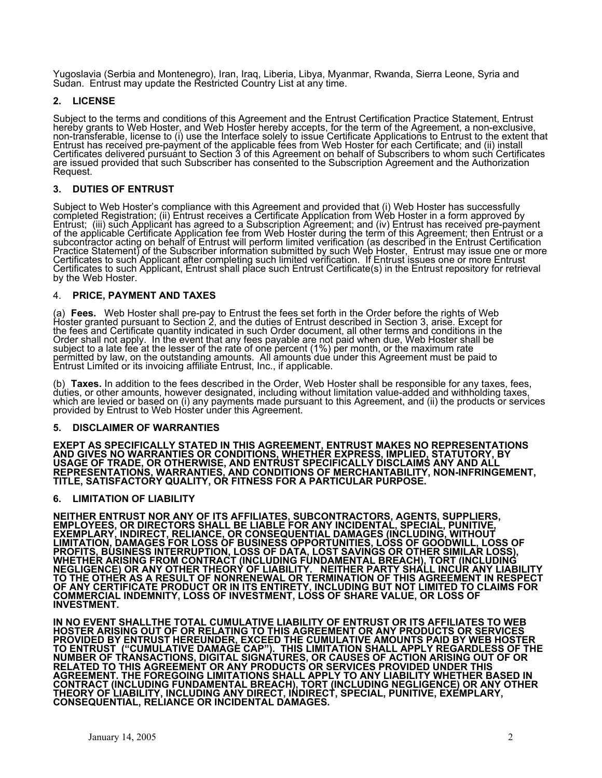Yugoslavia (Serbia and Montenegro), Iran, Iraq, Liberia, Libya, Myanmar, Rwanda, Sierra Leone, Syria and<br>Sudan. Entrust may update the Restricted Country List at any time.

# **2. LICENSE**

Subject to the terms and conditions of this Agreement and the Entrust Certification Practice Statement, Entrust heréby grants to Web Hoster, and Web Hoster hereby accepts, for the term of the Agreement, a non-exclusive,<br>non-transferable, license to (i) use the Interface solely to issue Certificate Applications to Entrust to the exte Entrust has received pre-payment of the applicable fees from Web Hoster for each Certificate; and (ii) install<br>Certificates delivered pursuant to Section 3 of this Agreement on behalf of Subscribers to whom such Certificat are issued provided that such Subscriber has consented to the Subscription Agreement and the Authorization<br>Request.

# **3. DUTIES OF ENTRUST**

Subject to Web Hoster's compliance with this Agreement and provided that (i) Web Hoster has successfully<br>completed Registration; (ii) Entrust receives a Certificate Application from Web Hoster in a form approved by<br>Entrust Certificates to such Applicant, Entrust shall place such Entrust Certificate(s) in the Entrust repository for retrieval by the Web Hoster.

### 4. **PRICE, PAYMENT AND TAXES**

(a) **Fees.** Web Hoster shall pre-pay to Entrust the fees set forth in the Order before the rights of Web<br>Hoster granted pursuant to Section 2, and the duties of Entrust described in Section 3, arise. Except for<br>the fees an

For the stand of apply. In the event that any fees payable are not paid when due, Web Hoster shall be<br>subject to a late fee at the lesser of the rate of one percent (1%) per month, or the maximum rate<br>permitted by law, on

### **5. DISCLAIMER OF WARRANTIES**

**EXEPT AS SPECIFICALLY STATED IN THIS AGREEMENT, ENTRUST MAKES NO REPRESENTATIONS AND GIVES NO WARRANTIES OR CONDITIONS, WHETHER EXPRESS, IMPLIED, STATUTORY, BY USAGE OF TRADE, OR OTHERWISE, AND ENTRUST SPECIFICALLY DISCLAIMS ANY AND ALL REPRESENTATIONS, WARRANTIES, AND CONDITIONS OF MERCHANTABILITY, NON-INFRINGEMENT, TITLE, SATISFACTORY QUALITY, OR FITNESS FOR A PARTICULAR PURPOSE.** 

# **6. LIMITATION OF LIABILITY**

**NEITHER ENTRUST NOR ANY OF ITS AFFILIATES, SUBCONTRACTORS, AGENTS, SUPPLIERS, EMPLOYEES, OR DIRECTORS SHALL BE LIABLE FOR ANY INCIDENTAL, SPECIAL, PUNITIVE,**  EXEMPLARY, INDIRECT, RELIANCE, OR CONSEQUENTIAL DAMAGES (INCLUDING, WITHOUT<br>LIMITATION, DAMAGES FOR LOSS OF BUSINESS OPPORTUNITIES, LOSS OF GOODWILL, LOSS OF PROFITS, BÚSINESS INTERRUPTION, LOSS OF DATA, LOST SAVINGS OR OTHER SIMILAR LOSS),<br>WHETHER ARISING FROM CONTRACT (INCLUDING FUNDAMENTAL BREACH), TORT (INCLUDING<br>NEGLIGENCE) OR ANY OTHER THEORY OF LIABILITY. NEITHER PARTY **TO THE OTHER AS A RESULT OF NONRENEWAL OR TERMINATION OF THIS AGREEMENT IN RESPECT OF ANY CERTIFICATE PRODUCT OR IN ITS ENTIRETY, INCLUDING BUT NOT LIMITED TO CLAIMS FOR COMMERCIAL INDEMNITY, LOSS OF INVESTMENT, LOSS OF SHARE VALUE, OR LOSS OF INVESTMENT.** 

**IN NO EVENT SHALLTHE TOTAL CUMULATIVE LIABILITY OF ENTRUST OR ITS AFFILIATES TO WEB HOSTER ARISING OUT OF OR RELATING TO THIS AGREEMENT OR ANY PRODUCTS OR SERVICES PROVIDED BY ENTRUST HEREUNDER, EXCEED THE CUMULATIVE AMOUNTS PAID BY WEB HOSTER TO ENTRUST ("CUMULATIVE DAMAGE CAP"). THIS LIMITATION SHALL APPLY REGARDLESS OF THE NUMBER OF TRANSACTIONS, DIGITAL SIGNATURES, OR CAUSES OF ACTION ARISING OUT OF OR RELATED TO THIS AGREEMENT OR ANY PRODUCTS OR SERVICES PROVIDED UNDER THIS AGREEMENT. THE FOREGOING LIMITATIONS SHALL APPLY TO ANY LIABILITY WHETHER BASED IN**  CONTRACT (INCLUDING FUNDAMENTAL BREACH), TORT (INCLUDING NEGLIGENCE) OR ANY OTHER<br>THEORY OF LIABILITY, INCLUDING ANY DIRECT, INDIRECT, SPECIAL, PUNITIVE, EXEMPLARY, **CONSEQUENTIAL, RELIANCE OR INCIDENTAL DAMAGES.**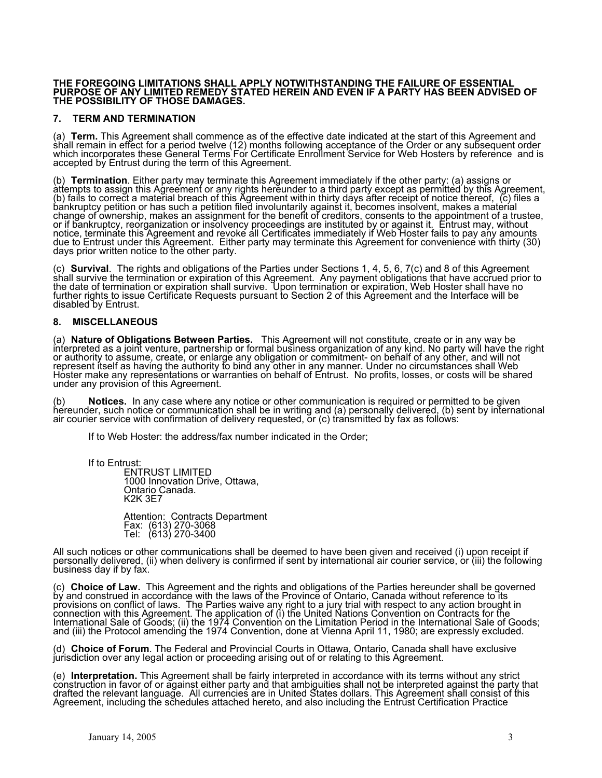#### **THE FOREGOING LIMITATIONS SHALL APPLY NOTWITHSTANDING THE FAILURE OF ESSENTIAL PURPOSE OF ANY LIMITED REMEDY STATED HEREIN AND EVEN IF A PARTY HAS BEEN ADVISED OF THE POSSIBILITY OF THOSE DAMAGES.**

# **7. TERM AND TERMINATION**

(a) Term. This Agreement shall commence as of the effective date indicated at the start of this Agreement and shall remain in effect for a period twelve (12) months following acceptance of the Order or any subsequent order

(b) **Termination**. Either party may terminate this Agreement immediately if the other party: (a) assigns or attempts to assign this Agreement or any rights hereunder to a third party except as permitted by this Agreement,

(c) **Survival**. The rights and obligations of the Parties under Sections 1, 4, 5, 6, 7(c) and 8 of this Agreement shall survive the termination or expiration of this Agreement. Any payment obligations that have accrued pri

### **8. MISCELLANEOUS**

(a) **Nature of Obligations Between Parties**. This Agreement will not constitute, create or in any way be interpreted as a joint venture, partnership or formal business organization of any kind. No party will have the right Hoster make any representations or warranties on behalf of Entrust. No profits, losses, or costs will be shared under any provision of this Agreement.

(b) **Notices.** In any case where any notice or other communication is required or permitted to be given<br>hereunder, such notice or communication shall be in writing and (a) personally delivered, (b) sent by international<br>ai

If to Web Hoster: the address/fax number indicated in the Order;

If to Entrust:

ENTRUST LIMITED 1000 Innovation Drive, Ottawa, Ontario Canada. K2K 3E7

Attention: Contracts Department Fax: (613) 270-3068 Tel: (613) 270-3400

All such notices or other communications shall be deemed to have been given and received (i) upon receipt if<br>personally delivered, (ii) when delivery is confirmed if sent by international air courier service, or (iii) the

(c) **Choice of Law.** This Agreement and the rights and obligations of the Parties hereunder shall be governed<br>by and construed <u>i</u>n accordance with the laws of the Province of Ontario, Canada without reference to its provisions on conflict of laws. The Parties waive any right to a jury trial with respect to any action brought in<br>connection with this Agreement. The application of (i) the United Nations Convention on Contracts for the International Sale of Goods; (ii) the 1974 Convention on the Limitation Period in the International Sale of Goods; and (iii) the Protocol amending the 1974 Convention, done at Vienna April 11, 1980; are expressly excluded.

(d) **Choice of Forum**. The Federal and Provincial Courts in Ottawa, Ontario, Canada shall have exclusive jurisdiction over any legal action or proceeding arising out of or relating to this Agreement.

(e) I**nterpretation.** This Agreement shall be fairly interpreted in accordance with its terms without any strict<br>construction in favor of or against either party and that ambiguities shall not be interpreted against the pa Agreement, including the schedules attached hereto, and also including the Entrust Certification Practice